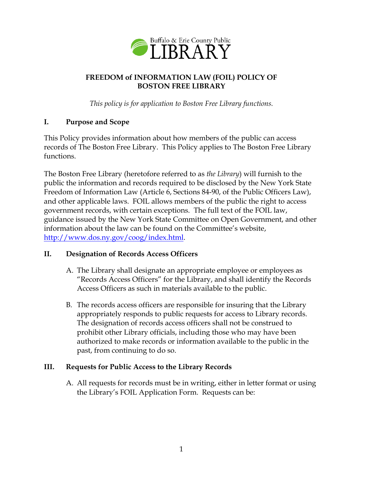

# **FREEDOM of INFORMATION LAW (FOIL) POLICY OF BOSTON FREE LIBRARY**

*This policy is for application to Boston Free Library functions.*

## **I. Purpose and Scope**

This Policy provides information about how members of the public can access records of The Boston Free Library. This Policy applies to The Boston Free Library functions.

The Boston Free Library (heretofore referred to as *the Library*) will furnish to the public the information and records required to be disclosed by the New York State Freedom of Information Law (Article 6, Sections 84-90, of the Public Officers Law), and other applicable laws. FOIL allows members of the public the right to access government records, with certain exceptions. The full text of the FOIL law, guidance issued by the New York State Committee on Open Government, and other information about the law can be found on the Committee's website, http://www.dos.ny.gov/coog/index.html.

# **II. Designation of Records Access Officers**

- A. The Library shall designate an appropriate employee or employees as "Records Access Officers" for the Library, and shall identify the Records Access Officers as such in materials available to the public.
- B. The records access officers are responsible for insuring that the Library appropriately responds to public requests for access to Library records. The designation of records access officers shall not be construed to prohibit other Library officials, including those who may have been authorized to make records or information available to the public in the past, from continuing to do so.

#### **III. Requests for Public Access to the Library Records**

A. All requests for records must be in writing, either in letter format or using the Library's FOIL Application Form. Requests can be: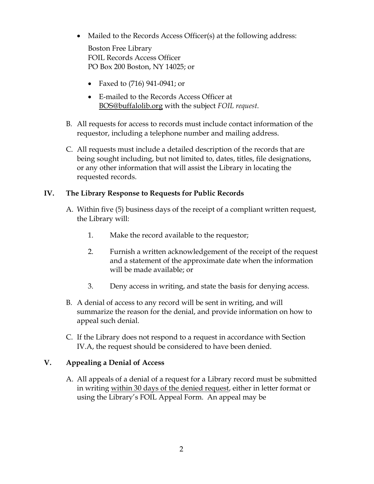• Mailed to the Records Access Officer(s) at the following address:

Boston Free Library FOIL Records Access Officer PO Box 200 Boston, NY 14025; or

- Faxed to (716) 941-0941; or
- E-mailed to the Records Access Officer at [BOS@buffalolib.org](mailto:CON@buffalolib.org) with the subject *FOIL request*.
- B. All requests for access to records must include contact information of the requestor, including a telephone number and mailing address.
- C. All requests must include a detailed description of the records that are being sought including, but not limited to, dates, titles, file designations, or any other information that will assist the Library in locating the requested records.

### <span id="page-1-0"></span>**IV. The Library Response to Requests for Public Records**

- A. Within five (5) business days of the receipt of a compliant written request, the Library will:
	- 1. Make the record available to the requestor;
	- 2. Furnish a written acknowledgement of the receipt of the request and a statement of the approximate date when the information will be made available; or
	- 3. Deny access in writing, and state the basis for denying access.
- B. A denial of access to any record will be sent in writing, and will summarize the reason for the denial, and provide information on how to appeal such denial.
- C. If the Library does not respond to a request in accordance with Section [IV.A,](#page-1-0) the request should be considered to have been denied.

# **V. Appealing a Denial of Access**

A. All appeals of a denial of a request for a Library record must be submitted in writing within 30 days of the denied request, either in letter format or using the Library's FOIL Appeal Form. An appeal may be